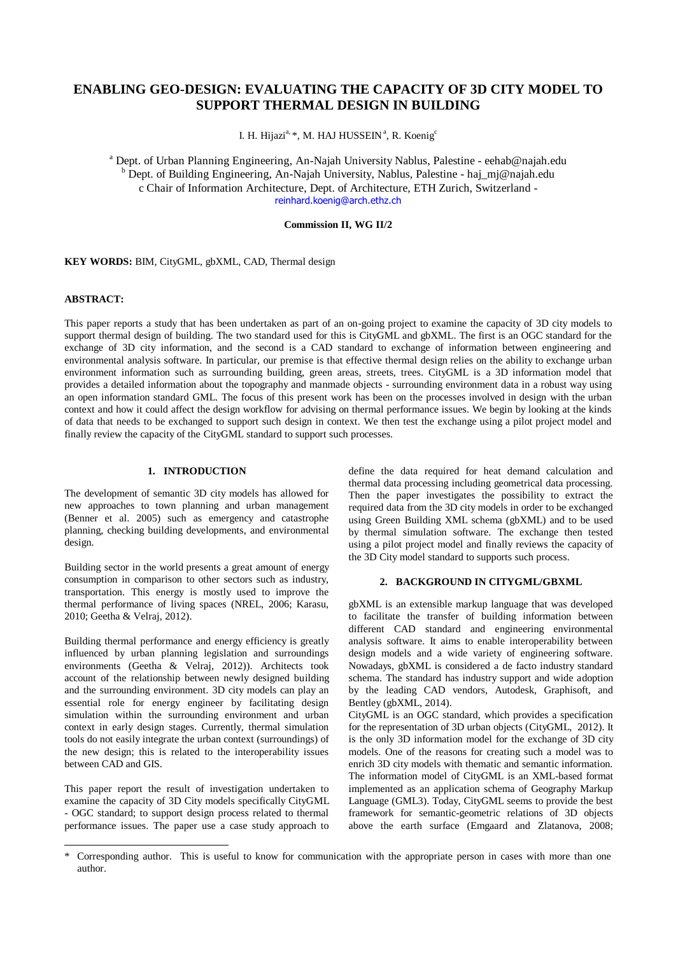# **ENABLING GEO-DESIGN: EVALUATING THE CAPACITY OF 3D CITY MODEL TO SUPPORT THERMAL DESIGN IN BUILDING**

I. H. Hijazi<sup>a, \*</sup>, M. HAJ HUSSEIN<sup>a</sup>, R. Koenig<sup>c</sup>

<sup>a</sup> Dept. of Urban Planning Engineering, An-Najah University Nablus, Palestine - eehab@najah.edu <sup>b</sup> Dept. of Building Engineering, An-Najah University, Nablus, Palestine - haj\_mj@najah.edu c Chair of Information Architecture, Dept. of Architecture, ETH Zurich, Switzerland [reinhard.koenig@arch.ethz.ch](mailto:reinhard.koenig@arch.ethz.ch)

## **Commission II, WG II/2**

**KEY WORDS:** BIM, CityGML, gbXML, CAD, Thermal design

#### **ABSTRACT:**

-

This paper reports a study that has been undertaken as part of an on-going project to examine the capacity of 3D city models to support thermal design of building. The two standard used for this is CityGML and gbXML. The first is an OGC standard for the exchange of 3D city information, and the second is a CAD standard to exchange of information between engineering and environmental analysis software. In particular, our premise is that effective thermal design relies on the ability to exchange urban environment information such as surrounding building, green areas, streets, trees. CityGML is a 3D information model that provides a detailed information about the topography and manmade objects - surrounding environment data in a robust way using an open information standard GML. The focus of this present work has been on the processes involved in design with the urban context and how it could affect the design workflow for advising on thermal performance issues. We begin by looking at the kinds of data that needs to be exchanged to support such design in context. We then test the exchange using a pilot project model and finally review the capacity of the CityGML standard to support such processes.

# **1. INTRODUCTION**

The development of semantic 3D city models has allowed for new approaches to town planning and urban management (Benner et al. 2005) such as emergency and catastrophe planning, checking building developments, and environmental design.

Building sector in the world presents a great amount of energy consumption in comparison to other sectors such as industry, transportation. This energy is mostly used to improve the thermal performance of living spaces (NREL, 2006; Karasu, 2010; Geetha & Velraj, 2012).

Building thermal performance and energy efficiency is greatly influenced by urban planning legislation and surroundings environments (Geetha & Velraj, 2012)). Architects took account of the relationship between newly designed building and the surrounding environment. 3D city models can play an essential role for energy engineer by facilitating design simulation within the surrounding environment and urban context in early design stages. Currently, thermal simulation tools do not easily integrate the urban context (surroundings) of the new design; this is related to the interoperability issues between CAD and GIS.

This paper report the result of investigation undertaken to examine the capacity of 3D City models specifically CityGML - OGC standard; to support design process related to thermal performance issues. The paper use a case study approach to

define the data required for heat demand calculation and thermal data processing including geometrical data processing. Then the paper investigates the possibility to extract the required data from the 3D city models in order to be exchanged using Green Building XML schema (gbXML) and to be used by thermal simulation software. The exchange then tested using a pilot project model and finally reviews the capacity of the 3D City model standard to supports such process.

#### **2. BACKGROUND IN CITYGML/GBXML**

gbXML is an extensible markup language that was developed to facilitate the transfer of building information between different CAD standard and engineering environmental analysis software. It aims to enable interoperability between design models and a wide variety of engineering software. Nowadays, gbXML is considered a de facto industry standard schema. The standard has industry support and wide adoption by the leading CAD vendors, Autodesk, Graphisoft, and Bentley (gbXML, 2014).

CityGML is an OGC standard, which provides a specification for the representation of 3D urban objects (CityGML, 2012). It is the only 3D information model for the exchange of 3D city models. One of the reasons for creating such a model was to enrich 3D city models with thematic and semantic information. The information model of CityGML is an XML-based format implemented as an application schema of Geography Markup Language (GML3). Today, CityGML seems to provide the best framework for semantic-geometric relations of 3D objects above the earth surface (Emgaard and Zlatanova, 2008;

<sup>\*</sup> Corresponding author. This is useful to know for communication with the appropriate person in cases with more than one author.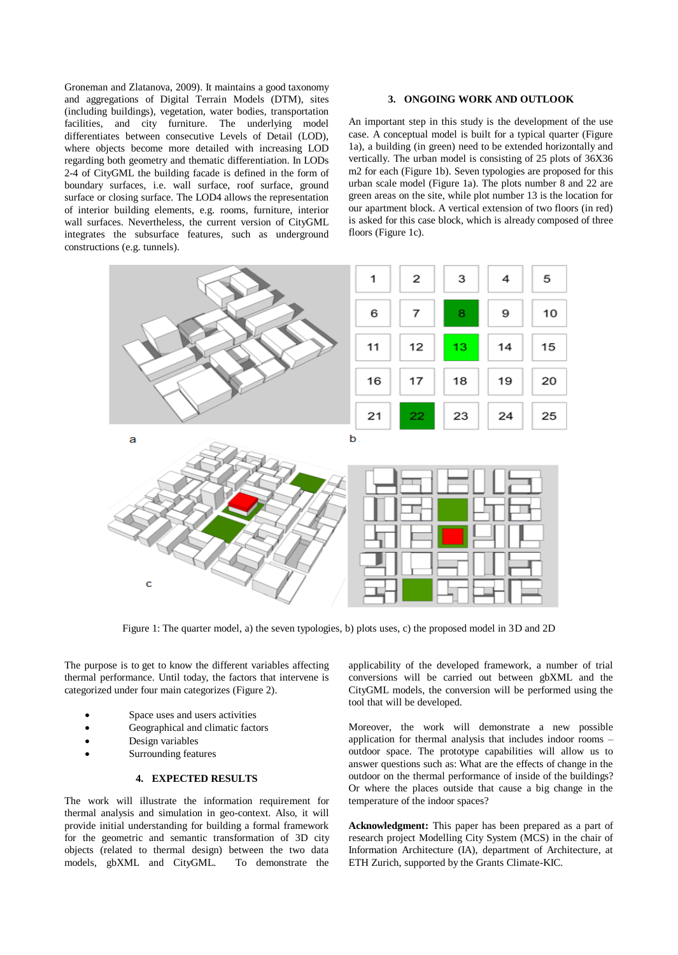Groneman and Zlatanova, 2009). It maintains a good taxonomy and aggregations of Digital Terrain Models (DTM), sites (including buildings), vegetation, water bodies, transportation facilities, and city furniture. The underlying model differentiates between consecutive Levels of Detail (LOD), where objects become more detailed with increasing LOD regarding both geometry and thematic differentiation. In LODs 2-4 of CityGML the building facade is defined in the form of boundary surfaces, i.e. wall surface, roof surface, ground surface or closing surface. The LOD4 allows the representation of interior building elements, e.g. rooms, furniture, interior wall surfaces. Nevertheless, the current version of CityGML integrates the subsurface features, such as underground constructions (e.g. tunnels).

## **3. ONGOING WORK AND OUTLOOK**

An important step in this study is the development of the use case. A conceptual model is built for a typical quarter (Figure 1a), a building (in green) need to be extended horizontally and vertically. The urban model is consisting of 25 plots of 36X36 m2 for each (Figure 1b). Seven typologies are proposed for this urban scale model (Figure 1a). The plots number 8 and 22 are green areas on the site, while plot number 13 is the location for our apartment block. A vertical extension of two floors (in red) is asked for this case block, which is already composed of three floors (Figure 1c).



Figure 1: The quarter model, a) the seven typologies, b) plots uses, c) the proposed model in 3D and 2D

The purpose is to get to know the different variables affecting thermal performance. Until today, the factors that intervene is categorized under four main categorizes (Figure 2).

- Space uses and users activities
- Geographical and climatic factors
- Design variables
- Surrounding features

# **4. EXPECTED RESULTS**

The work will illustrate the information requirement for thermal analysis and simulation in geo-context. Also, it will provide initial understanding for building a formal framework for the geometric and semantic transformation of 3D city objects (related to thermal design) between the two data models, gbXML and CityGML. To demonstrate the

applicability of the developed framework, a number of trial conversions will be carried out between gbXML and the CityGML models, the conversion will be performed using the tool that will be developed.

Moreover, the work will demonstrate a new possible application for thermal analysis that includes indoor rooms – outdoor space. The prototype capabilities will allow us to answer questions such as: What are the effects of change in the outdoor on the thermal performance of inside of the buildings? Or where the places outside that cause a big change in the temperature of the indoor spaces?

**Acknowledgment:** This paper has been prepared as a part of research project Modelling City System (MCS) in the chair of Information Architecture (IA), department of Architecture, at ETH Zurich, supported by the Grants Climate-KIC.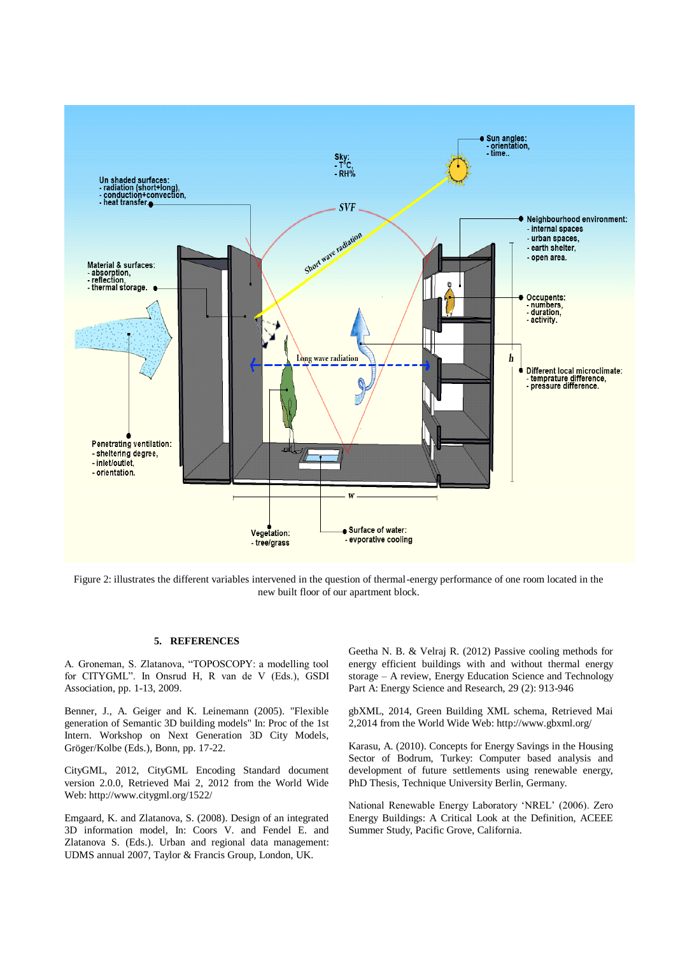

Figure 2: illustrates the different variables intervened in the question of thermal-energy performance of one room located in the new built floor of our apartment block.

## **5. REFERENCES**

A. Groneman, S. Zlatanova, "TOPOSCOPY: a modelling tool for CITYGML". In Onsrud H, R van de V (Eds.), GSDI Association, pp. 1-13, 2009.

Benner, J., A. Geiger and K. Leinemann (2005). "Flexible generation of Semantic 3D building models" In: Proc of the 1st Intern. Workshop on Next Generation 3D City Models, Gröger/Kolbe (Eds.), Bonn, pp. 17-22.

CityGML, 2012, CityGML Encoding Standard document version 2.0.0, Retrieved Mai 2, 2012 from the World Wide Web[: http://www.citygml.org/1522/](http://www.citygml.org/1522/)

Emgaard, K. and Zlatanova, S. (2008). Design of an integrated 3D information model, In: Coors V. and Fendel E. and Zlatanova S. (Eds.). Urban and regional data management: UDMS annual 2007, Taylor & Francis Group, London, UK.

Geetha N. B. & Velraj R. (2012) Passive cooling methods for energy efficient buildings with and without thermal energy storage – A review, Energy Education Science and Technology Part A: Energy Science and Research, 29 (2): 913-946

gbXML, 2014, Green Building XML schema, Retrieved Mai 2,2014 from the World Wide Web: http://www.gbxml.org/

Karasu, A. (2010). Concepts for Energy Savings in the Housing Sector of Bodrum, Turkey: Computer based analysis and development of future settlements using renewable energy, PhD Thesis, Technique University Berlin, Germany.

National Renewable Energy Laboratory 'NREL' (2006). Zero Energy Buildings: A Critical Look at the Definition, ACEEE Summer Study, Pacific Grove, California.